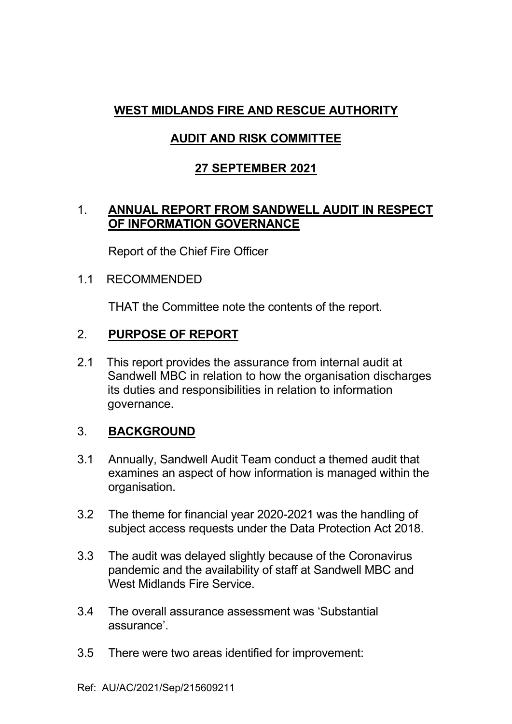# **WEST MIDLANDS FIRE AND RESCUE AUTHORITY**

# **AUDIT AND RISK COMMITTEE**

### **27 SEPTEMBER 2021**

#### 1. **ANNUAL REPORT FROM SANDWELL AUDIT IN RESPECT OF INFORMATION GOVERNANCE**

Report of the Chief Fire Officer

#### 1.1 RECOMMENDED

THAT the Committee note the contents of the report.

# 2. **PURPOSE OF REPORT**

2.1 This report provides the assurance from internal audit at Sandwell MBC in relation to how the organisation discharges its duties and responsibilities in relation to information governance.

#### 3. **BACKGROUND**

- 3.1 Annually, Sandwell Audit Team conduct a themed audit that examines an aspect of how information is managed within the organisation.
- 3.2 The theme for financial year 2020-2021 was the handling of subject access requests under the Data Protection Act 2018.
- 3.3 The audit was delayed slightly because of the Coronavirus pandemic and the availability of staff at Sandwell MBC and West Midlands Fire Service.
- 3.4 The overall assurance assessment was 'Substantial assurance'.
- 3.5 There were two areas identified for improvement: